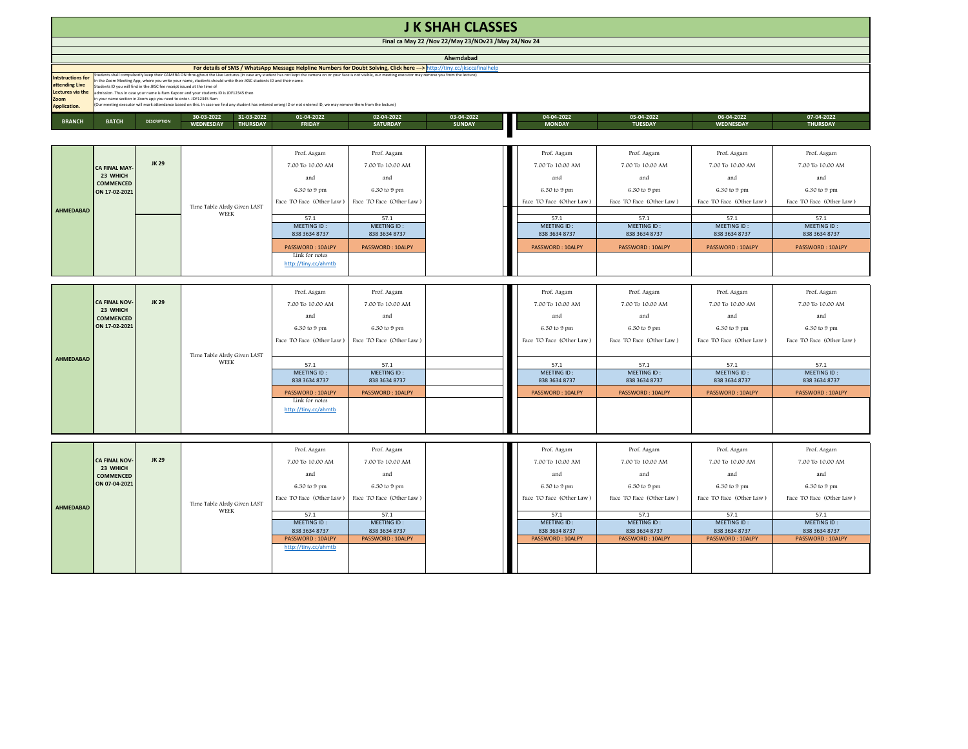| <b>J K SHAH CLASSES</b>                                                                       |                                                                                                                                                                                                                                                                                                                                                                                                                                                                                                                                                                                                                                                                                                                                             |                    |                                                                 |                                                                                                                                                                                          |                                                                                                                                                |                             |                                                                                                                                                |                                                                                                                                                |                                                                                                                                                |                                                                                                                                                |  |
|-----------------------------------------------------------------------------------------------|---------------------------------------------------------------------------------------------------------------------------------------------------------------------------------------------------------------------------------------------------------------------------------------------------------------------------------------------------------------------------------------------------------------------------------------------------------------------------------------------------------------------------------------------------------------------------------------------------------------------------------------------------------------------------------------------------------------------------------------------|--------------------|-----------------------------------------------------------------|------------------------------------------------------------------------------------------------------------------------------------------------------------------------------------------|------------------------------------------------------------------------------------------------------------------------------------------------|-----------------------------|------------------------------------------------------------------------------------------------------------------------------------------------|------------------------------------------------------------------------------------------------------------------------------------------------|------------------------------------------------------------------------------------------------------------------------------------------------|------------------------------------------------------------------------------------------------------------------------------------------------|--|
| Final ca May 22 / Nov 22/May 23/NOv23 / May 24/Nov 24                                         |                                                                                                                                                                                                                                                                                                                                                                                                                                                                                                                                                                                                                                                                                                                                             |                    |                                                                 |                                                                                                                                                                                          |                                                                                                                                                |                             |                                                                                                                                                |                                                                                                                                                |                                                                                                                                                |                                                                                                                                                |  |
| Ahemdabad                                                                                     |                                                                                                                                                                                                                                                                                                                                                                                                                                                                                                                                                                                                                                                                                                                                             |                    |                                                                 |                                                                                                                                                                                          |                                                                                                                                                |                             |                                                                                                                                                |                                                                                                                                                |                                                                                                                                                |                                                                                                                                                |  |
|                                                                                               | For details of SMS / WhatsApp Message Helpline Numbers for Doubt Solving, Click here ---> http://tiny.cc/jksccafinalhelp                                                                                                                                                                                                                                                                                                                                                                                                                                                                                                                                                                                                                    |                    |                                                                 |                                                                                                                                                                                          |                                                                                                                                                |                             |                                                                                                                                                |                                                                                                                                                |                                                                                                                                                |                                                                                                                                                |  |
| <b>Intstructions for</b><br>attending Live<br>Lectures via the<br>Zoom<br><b>Application.</b> | tudents shall compulsorily keep their CAMERA ON throughout the Live Lectures (in case any student has not kept the camera on or your face is not visible, our meeting executor may remove you from the lecture)<br>the Zoom Meeting App, where you write your name, students should write their JKSC students ID and their name.<br>Students ID you will find in the JKSC fee receipt issued at the time of<br>dmission. Thus in case your name is Ram Kapoor and your students ID is JDF12345 then<br>n your name section in Zoom app you need to enter- JDF12345 Ram<br>Our meeting executor will mark attendance based on this. In case we find any student has entered wrong ID or not entered ID, we may remove them from the lecture) |                    |                                                                 |                                                                                                                                                                                          |                                                                                                                                                |                             |                                                                                                                                                |                                                                                                                                                |                                                                                                                                                |                                                                                                                                                |  |
| <b>BRANCH</b>                                                                                 | <b>BATCH</b>                                                                                                                                                                                                                                                                                                                                                                                                                                                                                                                                                                                                                                                                                                                                | <b>DESCRIPTION</b> | 30-03-2022<br>31-03-2022<br><b>THURSDAY</b><br><b>WEDNESDAY</b> | 01-04-2022<br><b>FRIDAY</b>                                                                                                                                                              | 02-04-2022<br><b>SATURDAY</b>                                                                                                                  | 03-04-2022<br><b>SUNDAY</b> | 04-04-2022<br><b>MONDAY</b>                                                                                                                    | 05-04-2022<br><b>TUESDAY</b>                                                                                                                   | 06-04-2022<br>WEDNESDAY                                                                                                                        | 07-04-2022<br><b>THURSDAY</b>                                                                                                                  |  |
|                                                                                               |                                                                                                                                                                                                                                                                                                                                                                                                                                                                                                                                                                                                                                                                                                                                             |                    |                                                                 |                                                                                                                                                                                          |                                                                                                                                                |                             |                                                                                                                                                |                                                                                                                                                |                                                                                                                                                |                                                                                                                                                |  |
| AHMEDABAD                                                                                     | <b>CA FINAL MAY</b><br>23 WHICH<br><b>COMMENCED</b><br>ON 17-02-2021                                                                                                                                                                                                                                                                                                                                                                                                                                                                                                                                                                                                                                                                        | <b>JK 29</b>       | Time Table Alrdy Given LAST<br>WEEK                             | Prof. Aagam<br>7.00 To 10.00 AM<br>and<br>6.30 to 9 pm<br>Face TO Face (Other Law)<br>57.1<br>MEETING ID:<br>838 3634 8737<br>PASSWORD: 10ALPY<br>Link for notes<br>http://tiny.cc/ahmtb | Prof. Aagam<br>7.00 To 10.00 AM<br>and<br>6.30 to 9 pm<br>Face TO Face (Other Law)<br>57.1<br>MEETING ID:<br>838 3634 8737<br>PASSWORD: 10ALPY |                             | Prof. Aagam<br>7.00 To 10.00 AM<br>and<br>6.30 to 9 pm<br>Face TO Face (Other Law)<br>57.1<br>MEETING ID:<br>838 3634 8737<br>PASSWORD: 10ALPY | Prof. Aagam<br>7.00 To 10.00 AM<br>and<br>6.30 to 9 pm<br>Face TO Face (Other Law)<br>57.1<br>MEETING ID:<br>838 3634 8737<br>PASSWORD: 10ALPY | Prof. Aagam<br>7.00 To 10.00 AM<br>and<br>6.30 to 9 pm<br>Face TO Face (Other Law)<br>57.1<br>MEETING ID:<br>838 3634 8737<br>PASSWORD: 10ALPY | Prof. Aagam<br>7.00 To 10.00 AM<br>and<br>6.30 to 9 pm<br>Face TO Face (Other Law)<br>57.1<br>MEETING ID:<br>838 3634 8737<br>PASSWORD: 10ALPY |  |
| AHMEDABAD                                                                                     | <b>CA FINAL NOV</b><br>23 WHICH<br><b>COMMENCED</b><br>ON 17-02-2021                                                                                                                                                                                                                                                                                                                                                                                                                                                                                                                                                                                                                                                                        | JK 29              | Time Table Alrdy Given LAST<br>WEEK                             | Prof. Aagam<br>7.00 To 10.00 AM<br>and<br>6.30 to 9 pm<br>Face TO Face (Other Law)                                                                                                       | Prof. Aagam<br>7.00 To 10.00 AM<br>and<br>6.30 to 9 pm<br>Face TO Face (Other Law)                                                             |                             | Prof. Aagam<br>7.00 To 10.00 AM<br>and<br>6.30 to 9 pm<br>Face TO Face (Other Law)                                                             | Prof. Aagam<br>7.00 To 10.00 AM<br>and<br>6.30 to 9 pm<br>Face TO Face (Other Law)                                                             | Prof. Aagam<br>7.00 To 10.00 AM<br>and<br>6.30 to 9 pm<br>Face TO Face (Other Law)                                                             | Prof. Aagam<br>7.00 To 10.00 AM<br>and<br>6.30 to 9 pm<br>Face TO Face (Other Law)                                                             |  |
|                                                                                               |                                                                                                                                                                                                                                                                                                                                                                                                                                                                                                                                                                                                                                                                                                                                             |                    |                                                                 | 57.1<br>MEETING ID:                                                                                                                                                                      | 57.1<br>MEETING ID:                                                                                                                            |                             | 57.1<br>MEETING ID:                                                                                                                            | 57.1<br>MEETING ID:                                                                                                                            | 57.1<br>MEETING ID:                                                                                                                            | 57.1<br>MEETING ID:                                                                                                                            |  |
|                                                                                               |                                                                                                                                                                                                                                                                                                                                                                                                                                                                                                                                                                                                                                                                                                                                             |                    |                                                                 | 838 3634 8737                                                                                                                                                                            | 838 3634 8737                                                                                                                                  |                             | 838 3634 8737                                                                                                                                  | 838 3634 8737                                                                                                                                  | 838 3634 8737                                                                                                                                  | 838 3634 8737                                                                                                                                  |  |
|                                                                                               |                                                                                                                                                                                                                                                                                                                                                                                                                                                                                                                                                                                                                                                                                                                                             |                    |                                                                 | PASSWORD: 10ALPY<br>Link for notes<br>http://tiny.cc/ahmtb                                                                                                                               | PASSWORD: 10ALPY                                                                                                                               |                             | PASSWORD: 10ALPY                                                                                                                               | PASSWORD: 10ALPY                                                                                                                               | PASSWORD: 10ALPY                                                                                                                               | PASSWORD: 10ALPY                                                                                                                               |  |
|                                                                                               |                                                                                                                                                                                                                                                                                                                                                                                                                                                                                                                                                                                                                                                                                                                                             |                    |                                                                 | Prof. Aagam                                                                                                                                                                              | Prof. Aagam                                                                                                                                    |                             | Prof. Aagam                                                                                                                                    | Prof. Aagam                                                                                                                                    | Prof. Aagam                                                                                                                                    | Prof. Aagam                                                                                                                                    |  |
| <b>AHMEDABAD</b>                                                                              | <b>CA FINAL NOV</b><br>23 WHICH<br><b>COMMENCED</b><br>ON 07-04-2021                                                                                                                                                                                                                                                                                                                                                                                                                                                                                                                                                                                                                                                                        | <b>JK 29</b>       | Time Table Alrdy Given LAST                                     | 7.00 To 10.00 AM<br>and<br>6.30 to 9 pm<br>Face TO Face (Other Law)                                                                                                                      | 7.00 To 10.00 AM<br>and<br>6.30 to 9 pm<br>Face TO Face (Other Law)                                                                            |                             | 7.00 To 10.00 AM<br>and<br>6.30 to 9 pm<br>Face TO Face (Other Law)                                                                            | 7.00 To 10.00 AM<br>and<br>6.30 to 9 pm<br>Face TO Face (Other Law)                                                                            | 7.00 To 10.00 AM<br>and<br>6.30 to 9 pm<br>Face TO Face (Other Law)                                                                            | 7.00 To 10.00 AM<br>and<br>6.30 to 9 pm<br>Face TO Face (Other Law)                                                                            |  |
|                                                                                               |                                                                                                                                                                                                                                                                                                                                                                                                                                                                                                                                                                                                                                                                                                                                             |                    | <b>WEEK</b>                                                     | 57.1                                                                                                                                                                                     | 57.1                                                                                                                                           |                             | 57.1                                                                                                                                           | 57.1                                                                                                                                           | 57.1                                                                                                                                           | 57.1                                                                                                                                           |  |
|                                                                                               |                                                                                                                                                                                                                                                                                                                                                                                                                                                                                                                                                                                                                                                                                                                                             |                    |                                                                 | MEETING ID:<br>838 3634 8737<br>PASSWORD: 10ALPY                                                                                                                                         | MEETING ID:<br>838 3634 8737<br>PASSWORD: 10ALPY                                                                                               |                             | MEETING ID:<br>838 3634 8737<br>PASSWORD: 10ALPY                                                                                               | MEETING ID:<br>838 3634 8737<br>PASSWORD: 10ALPY                                                                                               | MEETING ID:<br>838 3634 8737<br>PASSWORD: 10ALPY                                                                                               | MEETING ID:<br>838 3634 8737<br>PASSWORD: 10ALPY                                                                                               |  |

http://tiny.cc/ahmtb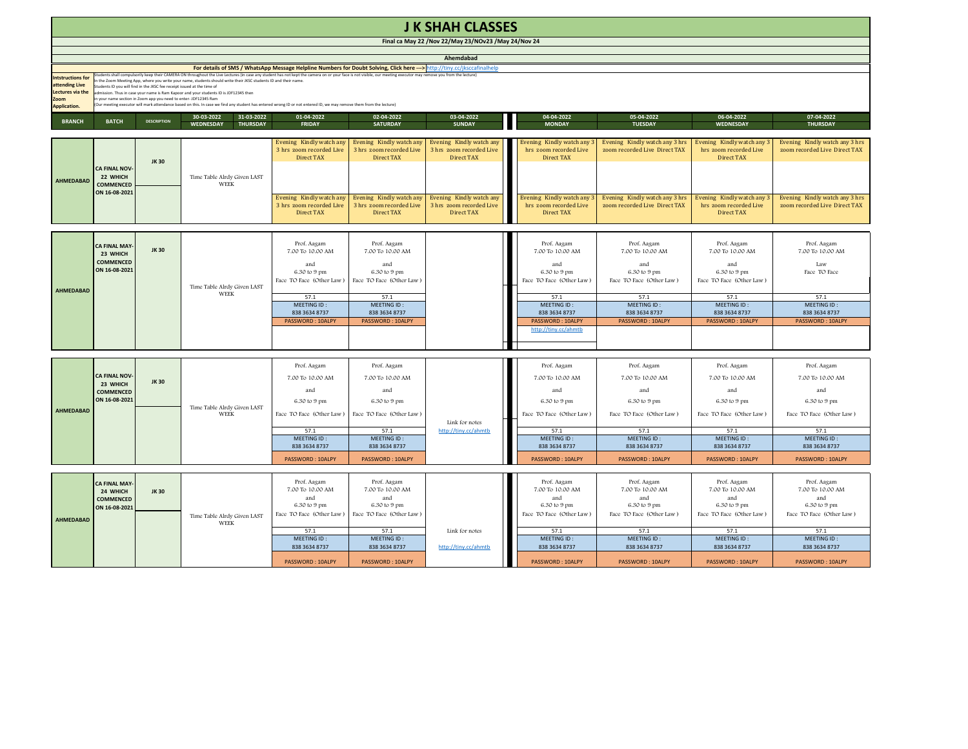| <b>JK SHAH CLASSES</b>                                                                                                   |                                                                                                                                                                                                                                                                                                                                                                                                                                                                                                                                                                                                                                                                                                                                             |                                            |                                                                  |                                                                                    |                                                                                    |                                                                           |                                                                                    |                                                                                    |                                                                                    |                                                                                    |
|--------------------------------------------------------------------------------------------------------------------------|---------------------------------------------------------------------------------------------------------------------------------------------------------------------------------------------------------------------------------------------------------------------------------------------------------------------------------------------------------------------------------------------------------------------------------------------------------------------------------------------------------------------------------------------------------------------------------------------------------------------------------------------------------------------------------------------------------------------------------------------|--------------------------------------------|------------------------------------------------------------------|------------------------------------------------------------------------------------|------------------------------------------------------------------------------------|---------------------------------------------------------------------------|------------------------------------------------------------------------------------|------------------------------------------------------------------------------------|------------------------------------------------------------------------------------|------------------------------------------------------------------------------------|
| Final ca May 22 / Nov 22/May 23/NOv23 / May 24/Nov 24                                                                    |                                                                                                                                                                                                                                                                                                                                                                                                                                                                                                                                                                                                                                                                                                                                             |                                            |                                                                  |                                                                                    |                                                                                    |                                                                           |                                                                                    |                                                                                    |                                                                                    |                                                                                    |
| Ahemdabad                                                                                                                |                                                                                                                                                                                                                                                                                                                                                                                                                                                                                                                                                                                                                                                                                                                                             |                                            |                                                                  |                                                                                    |                                                                                    |                                                                           |                                                                                    |                                                                                    |                                                                                    |                                                                                    |
| For details of SMS / WhatsApp Message Helpline Numbers for Doubt Solving, Click here ---> http://tiny.cc/jksccafinalhelp |                                                                                                                                                                                                                                                                                                                                                                                                                                                                                                                                                                                                                                                                                                                                             |                                            |                                                                  |                                                                                    |                                                                                    |                                                                           |                                                                                    |                                                                                    |                                                                                    |                                                                                    |
| <b>Intstructions for</b><br>attending Live<br>Lectures via the<br>Zoom<br><b>Application.</b>                            | (tudents shall compulsorily keep their CAMERA ON throughout the Live Lectures (in case any student has not kept the camera on or your face is not visible, our meeting executor may remove you from the lecture)<br>n the Zoom Meeting App, where you write your name, students should write their JKSC students ID and their name.<br>tudents ID you will find in the JKSC fee receipt issued at the time of<br>dmission. Thus in case your name is Ram Kapoor and your students ID is JDF12345 then<br>your name section in Zoom app you need to enter- JDF12345 Ram<br>Our meeting executor will mark attendance based on this. In case we find any student has entered wrong ID or not entered ID, we may remove them from the lecture) |                                            |                                                                  |                                                                                    |                                                                                    |                                                                           |                                                                                    |                                                                                    |                                                                                    |                                                                                    |
| <b>BRANCH</b>                                                                                                            | <b>BATCH</b>                                                                                                                                                                                                                                                                                                                                                                                                                                                                                                                                                                                                                                                                                                                                | <b>DESCRIPTION</b>                         | 30-03-2022<br>31-03-2022<br><b>WEDNESDAY</b><br><b>THURSDAY</b>  | 01-04-2022<br><b>FRIDAY</b>                                                        | 02-04-2022<br><b>SATURDAY</b>                                                      | 03-04-2022<br><b>SUNDAY</b>                                               | 04-04-2022<br><b>MONDAY</b>                                                        | 05-04-2022<br><b>TUESDAY</b>                                                       | 06-04-2022<br><b>WEDNESDAY</b>                                                     | 07-04-2022<br><b>THURSDAY</b>                                                      |
| AHMEDABAD                                                                                                                | <b>CA FINAL NOV-</b><br>22 WHICH                                                                                                                                                                                                                                                                                                                                                                                                                                                                                                                                                                                                                                                                                                            | <b>JK30</b>                                | Time Table Alrdy Given LAST<br><b>WEEK</b>                       | Evening Kindly watch any<br>3 hrs zoom recorded Live<br><b>Direct TAX</b>          | Evening Kindly watch any<br>3 hrs zoom recorded Live<br><b>Direct TAX</b>          | Evening Kindly watch any<br>3 hrs zoom recorded Live<br><b>Direct TAX</b> | Evening Kindly watch any<br>hrs zoom recorded Live<br>Direct TAX                   | Evening Kindly watch any 3 hrs<br>zoom recorded Live Direct TAX                    | Evening Kindly watch any 3<br>hrs zoom recorded Live<br><b>Direct TAX</b>          | Evening Kindly watch any 3 hrs<br>zoom recorded Live Direct TAX                    |
|                                                                                                                          | ON 16-08-2021                                                                                                                                                                                                                                                                                                                                                                                                                                                                                                                                                                                                                                                                                                                               | COMMENCED                                  |                                                                  | Evening Kindly watch any<br>3 hrs zoom recorded Live<br><b>Direct TAX</b>          | Evening Kindly watch any<br>3 hrs zoom recorded Live<br>Direct TAX                 | Evening Kindly watch any<br>3 hrs zoom recorded Live<br><b>Direct TAX</b> | Evening Kindly watch any<br>hrs zoom recorded Live<br>Direct TAX                   | Evening Kindly watch any 3 hrs<br>zoom recorded Live Direct TAX                    | Evening Kindly watch any 3<br>hrs zoom recorded Live<br><b>Direct TAX</b>          | Evening Kindly watch any 3 hrs<br>zoom recorded Live Direct TAX                    |
| <b>AHMEDABAD</b>                                                                                                         | <b>CA FINAL MAY</b><br>23 WHICH<br>COMMENCED<br>ON 16-08-2021                                                                                                                                                                                                                                                                                                                                                                                                                                                                                                                                                                                                                                                                               | <b>JK30</b>                                | Time Table Alrdy Given LAST<br><b>WEEK</b>                       | Prof. Aagam<br>7.00 To 10.00 AM<br>and<br>6.30 to 9 pm<br>Face TO Face (Other Law) | Prof. Aagam<br>7.00 To 10.00 AM<br>and<br>6.30 to 9 pm<br>Face TO Face (Other Law) |                                                                           | Prof. Aagam<br>7.00 To 10.00 AM<br>and<br>6.30 to 9 pm<br>Face TO Face (Other Law) | Prof. Aagam<br>7.00 To 10.00 AM<br>and<br>6.30 to 9 pm<br>Face TO Face (Other Law) | Prof. Aagam<br>7.00 To 10.00 AM<br>and<br>6.30 to 9 pm<br>Face TO Face (Other Law) | Prof. Aagam<br>7.00 To 10.00 AM<br>Law<br>Face TO Face                             |
|                                                                                                                          |                                                                                                                                                                                                                                                                                                                                                                                                                                                                                                                                                                                                                                                                                                                                             |                                            |                                                                  | 57.1<br>MEETING ID:<br>838 3634 8737<br>PASSWORD: 10ALPY                           | 57.1<br>MEETING ID:<br>838 3634 8737<br>PASSWORD: 10ALPY                           |                                                                           | 57.1<br>MEETING ID:<br>838 3634 8737<br>PASSWORD: 10ALPY<br>http://tiny.cc/ahmtb   | 57.1<br>MEETING ID:<br>838 3634 8737<br>PASSWORD: 10ALPY                           | 57.1<br>MEETING ID:<br>838 3634 8737<br>PASSWORD: 10ALPY                           | 57.1<br>MEETING ID:<br>838 3634 8737<br>PASSWORD: 10ALPY                           |
|                                                                                                                          |                                                                                                                                                                                                                                                                                                                                                                                                                                                                                                                                                                                                                                                                                                                                             |                                            |                                                                  |                                                                                    |                                                                                    |                                                                           |                                                                                    |                                                                                    |                                                                                    |                                                                                    |
| <b>AHMEDABAD</b>                                                                                                         | <b>CA FINAL NOV</b><br><b>JK30</b><br>23 WHICH<br><b>COMMENCED</b><br>ON 16-08-2021                                                                                                                                                                                                                                                                                                                                                                                                                                                                                                                                                                                                                                                         |                                            | Time Table Alrdy Given LAST<br><b>WEEK</b>                       | Prof. Aagam<br>7.00 To 10.00 AM<br>and<br>6.30 to 9 pm<br>Face TO Face (Other Law) | Prof. Aagam<br>7.00 To 10.00 AM<br>and<br>6.30 to 9 pm<br>Face TO Face (Other Law) | Link for notes<br>http://tiny.cc/ahmtb                                    | Prof. Aagam<br>7.00 To 10.00 AM<br>and<br>6.30 to 9 pm<br>Face TO Face (Other Law) | Prof. Aagam<br>7.00 To 10.00 AM<br>and<br>6.30 to 9 pm<br>Face TO Face (Other Law) | Prof. Aagam<br>7.00 To 10.00 AM<br>and<br>6.30 to 9 pm<br>Face TO Face (Other Law) | Prof. Aagam<br>7.00 To 10.00 AM<br>and<br>6.30 to 9 pm<br>Face TO Face (Other Law) |
|                                                                                                                          |                                                                                                                                                                                                                                                                                                                                                                                                                                                                                                                                                                                                                                                                                                                                             |                                            |                                                                  | 57.1<br>MEETING ID:<br>838 3634 8737<br>PASSWORD: 10ALPY                           | 57.1<br>MEETING ID:<br>838 3634 8737<br>PASSWORD: 10ALPY                           |                                                                           | 57.1<br>MEETING ID:<br>838 3634 8737<br>PASSWORD: 10ALPY                           | 57.1<br>MEETING ID:<br>838 3634 8737<br>PASSWORD: 10ALPY                           | 57.1<br>MEETING ID:<br>838 3634 8737<br>PASSWORD: 10ALPY                           | 57.1<br>MEETING ID:<br>838 3634 8737<br>PASSWORD: 10ALPY                           |
| <b>AHMEDABAD</b>                                                                                                         | <b>CA FINAL MAY</b><br>24 WHICH<br><b>COMMENCED</b>                                                                                                                                                                                                                                                                                                                                                                                                                                                                                                                                                                                                                                                                                         | <b>JK30</b>                                |                                                                  | Prof. Aagam<br>7.00 To 10.00 AM<br>and<br>6.30 to 9 pm                             | Prof. Aagam<br>7.00 To 10.00 AM<br>and<br>6.30 to 9 pm                             |                                                                           | Prof. Aagam<br>7.00 To 10.00 AM<br>and<br>6.30 to 9 pm                             | Prof. Aagam<br>7.00 To 10.00 AM<br>and<br>6.30 to 9 pm                             | Prof. Aagam<br>7.00 To 10.00 AM<br>and<br>6.30 to 9 pm                             | Prof. Aagam<br>7.00 To 10.00 AM<br>and<br>6.30 to 9 pm                             |
|                                                                                                                          | ON 16-08-2021                                                                                                                                                                                                                                                                                                                                                                                                                                                                                                                                                                                                                                                                                                                               | Time Table Alrdy Given LAST<br><b>WEEK</b> | Face TO Face (Other Law)<br>57.1<br>MEETING ID:<br>838 3634 8737 | Face TO Face (Other Law)<br>57.1<br>MEETING ID:<br>838 3634 8737                   | Link for notes<br>http://tiny.cc/ahmtb                                             | Face TO Face (Other Law)<br>57.1<br>MEETING ID:<br>838 3634 8737          | Face TO Face (Other Law)<br>57.1<br>MEETING ID:<br>838 3634 8737                   | Face TO Face (Other Law)<br>57.1<br>MEETING ID:<br>838 3634 8737                   | Face TO Face (Other Law)<br>57.1<br>MEETING ID:<br>838 3634 8737                   |                                                                                    |
|                                                                                                                          |                                                                                                                                                                                                                                                                                                                                                                                                                                                                                                                                                                                                                                                                                                                                             |                                            |                                                                  | PASSWORD: 10ALPY                                                                   | PASSWORD: 10ALPY                                                                   |                                                                           | PASSWORD: 10ALPY                                                                   | PASSWORD: 10ALPY                                                                   | PASSWORD: 10ALPY                                                                   | PASSWORD: 10ALPY                                                                   |